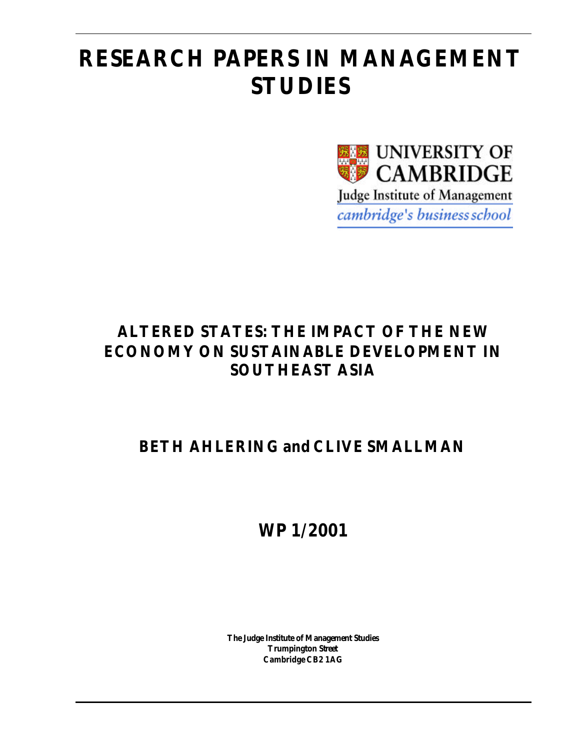# **RESEARCH PAPERS IN MANAGEMENT STUDIES**



# **ALTERED STATES: THE IMPACT OF THE NEW ECONOMY ON SUSTAINABLE DEVELOPMENT IN SOUTHEAST ASIA**

# **BETH AHLERING and CLIVE SMALLMAN**

**WP 1/2001**

**The Judge Institute of Management Studies Trumpington Street Cambridge CB2 1AG**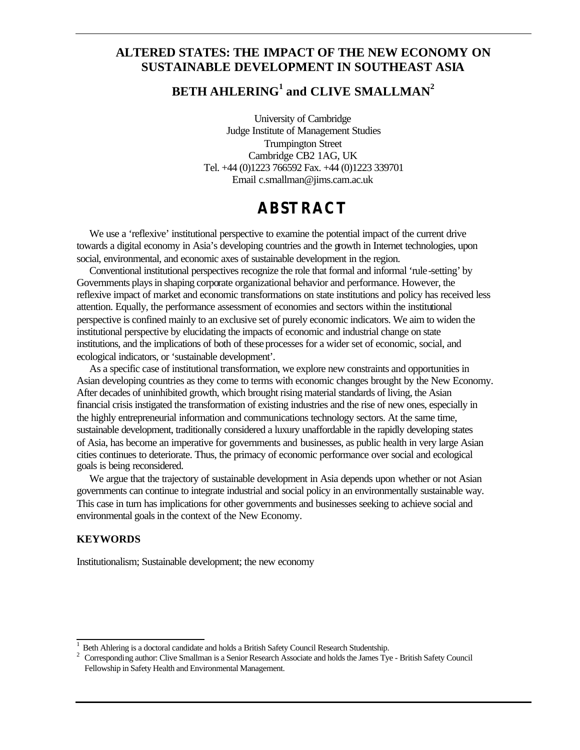# **ALTERED STATES: THE IMPACT OF THE NEW ECONOMY ON SUSTAINABLE DEVELOPMENT IN SOUTHEAST ASIA**

# $\mathbf{BETH}$   $\mathbf{AHLERING}^{1}$  and  $\mathbf{CLIVE}$   $\mathbf{SMALLMAN}^{2}$

University of Cambridge Judge Institute of Management Studies Trumpington Street Cambridge CB2 1AG, UK Tel. +44 (0)1223 766592 Fax. +44 (0)1223 339701 Email c.smallman@jims.cam.ac.uk

# **ABSTRACT**

We use a 'reflexive' institutional perspective to examine the potential impact of the current drive towards a digital economy in Asia's developing countries and the growth in Internet technologies, upon social, environmental, and economic axes of sustainable development in the region.

Conventional institutional perspectives recognize the role that formal and informal 'rule-setting' by Governments plays in shaping corporate organizational behavior and performance. However, the reflexive impact of market and economic transformations on state institutions and policy has received less attention. Equally, the performance assessment of economies and sectors within the institutional perspective is confined mainly to an exclusive set of purely economic indicators. We aim to widen the institutional perspective by elucidating the impacts of economic and industrial change on state institutions, and the implications of both of these processes for a wider set of economic, social, and ecological indicators, or 'sustainable development'.

As a specific case of institutional transformation, we explore new constraints and opportunities in Asian developing countries as they come to terms with economic changes brought by the New Economy. After decades of uninhibited growth, which brought rising material standards of living, the Asian financial crisis instigated the transformation of existing industries and the rise of new ones, especially in the highly entrepreneurial information and communications technology sectors. At the same time, sustainable development, traditionally considered a luxury unaffordable in the rapidly developing states of Asia, has become an imperative for governments and businesses, as public health in very large Asian cities continues to deteriorate. Thus, the primacy of economic performance over social and ecological goals is being reconsidered.

We argue that the trajectory of sustainable development in Asia depends upon whether or not Asian governments can continue to integrate industrial and social policy in an environmentally sustainable way. This case in turn has implications for other governments and businesses seeking to achieve social and environmental goals in the context of the New Economy.

#### **KEYWORDS**

l

Institutionalism; Sustainable development; the new economy

<sup>1</sup>  $\frac{1}{2}$  Beth Ahlering is a doctoral candidate and holds a British Safety Council Research Studentship.<br>
2. Corresponding author: Clive Smallman is a Senior Research Associate and holds the James Ty

<sup>2</sup> Corresponding author: Clive Smallman is a Senior Research Associate and holds the James Tye - British Safety Council Fellowship in Safety Health and Environmental Management.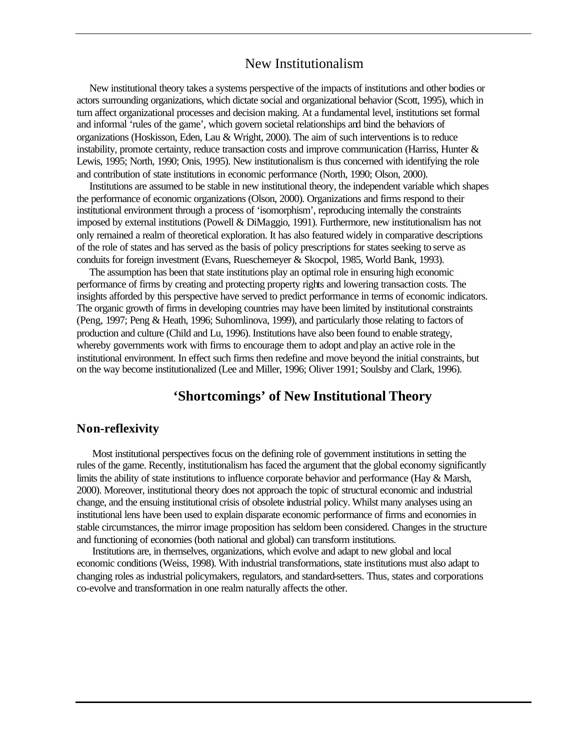# New Institutionalism

New institutional theory takes a systems perspective of the impacts of institutions and other bodies or actors surrounding organizations, which dictate social and organizational behavior (Scott, 1995), which in turn affect organizational processes and decision making. At a fundamental level, institutions set formal and informal 'rules of the game', which govern societal relationships and bind the behaviors of organizations (Hoskisson, Eden, Lau & Wright, 2000). The aim of such interventions is to reduce instability, promote certainty, reduce transaction costs and improve communication (Harriss, Hunter & Lewis, 1995; North, 1990; Onis, 1995). New institutionalism is thus concerned with identifying the role and contribution of state institutions in economic performance (North, 1990; Olson, 2000).

Institutions are assumed to be stable in new institutional theory, the independent variable which shapes the performance of economic organizations (Olson, 2000). Organizations and firms respond to their institutional environment through a process of 'isomorphism', reproducing internally the constraints imposed by external institutions (Powell & DiMaggio, 1991). Furthermore, new institutionalism has not only remained a realm of theoretical exploration. It has also featured widely in comparative descriptions of the role of states and has served as the basis of policy prescriptions for states seeking to serve as conduits for foreign investment (Evans, Rueschemeyer & Skocpol, 1985, World Bank, 1993).

The assumption has been that state institutions play an optimal role in ensuring high economic performance of firms by creating and protecting property rights and lowering transaction costs. The insights afforded by this perspective have served to predict performance in terms of economic indicators. The organic growth of firms in developing countries may have been limited by institutional constraints (Peng, 1997; Peng & Heath, 1996; Suhomlinova, 1999), and particularly those relating to factors of production and culture (Child and Lu, 1996). Institutions have also been found to enable strategy, whereby governments work with firms to encourage them to adopt and play an active role in the institutional environment. In effect such firms then redefine and move beyond the initial constraints, but on the way become institutionalized (Lee and Miller, 1996; Oliver 1991; Soulsby and Clark, 1996).

# **'Shortcomings' of New Institutional Theory**

#### **Non-reflexivity**

Most institutional perspectives focus on the defining role of government institutions in setting the rules of the game. Recently, institutionalism has faced the argument that the global economy significantly limits the ability of state institutions to influence corporate behavior and performance (Hay & Marsh, 2000). Moreover, institutional theory does not approach the topic of structural economic and industrial change, and the ensuing institutional crisis of obsolete industrial policy. Whilst many analyses using an institutional lens have been used to explain disparate economic performance of firms and economies in stable circumstances, the mirror image proposition has seldom been considered. Changes in the structure and functioning of economies (both national and global) can transform institutions.

Institutions are, in themselves, organizations, which evolve and adapt to new global and local economic conditions (Weiss, 1998). With industrial transformations, state institutions must also adapt to changing roles as industrial policymakers, regulators, and standard-setters. Thus, states and corporations co-evolve and transformation in one realm naturally affects the other.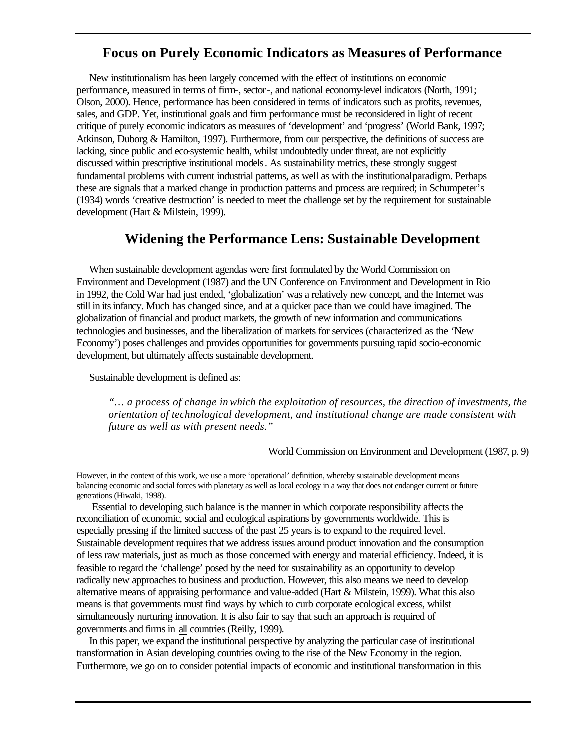# **Focus on Purely Economic Indicators as Measures of Performance**

New institutionalism has been largely concerned with the effect of institutions on economic performance, measured in terms of firm-, sector-, and national economy-level indicators (North, 1991; Olson, 2000). Hence, performance has been considered in terms of indicators such as profits, revenues, sales, and GDP. Yet, institutional goals and firm performance must be reconsidered in light of recent critique of purely economic indicators as measures of 'development' and 'progress' (World Bank, 1997; Atkinson, Duborg & Hamilton, 1997). Furthermore, from our perspective, the definitions of success are lacking, since public and eco-systemic health, whilst undoubtedly under threat, are not explicitly discussed within prescriptive institutional models. As sustainability metrics, these strongly suggest fundamental problems with current industrial patterns, as well as with the institutionalparadigm. Perhaps these are signals that a marked change in production patterns and process are required; in Schumpeter's (1934) words 'creative destruction' is needed to meet the challenge set by the requirement for sustainable development (Hart & Milstein, 1999).

# **Widening the Performance Lens: Sustainable Development**

When sustainable development agendas were first formulated by the World Commission on Environment and Development (1987) and the UN Conference on Environment and Development in Rio in 1992, the Cold War had just ended, 'globalization' was a relatively new concept, and the Internet was still in its infancy. Much has changed since, and at a quicker pace than we could have imagined. The globalization of financial and product markets, the growth of new information and communications technologies and businesses, and the liberalization of markets for services (characterized as the 'New Economy') poses challenges and provides opportunities for governments pursuing rapid socio-economic development, but ultimately affects sustainable development.

Sustainable development is defined as:

*"… a process of change in which the exploitation of resources, the direction of investments, the orientation of technological development, and institutional change are made consistent with future as well as with present needs."*

#### World Commission on Environment and Development (1987, p. 9)

However, in the context of this work, we use a more 'operational' definition, whereby sustainable development means balancing economic and social forces with planetary as well as local ecology in a way that does not endanger current or future generations (Hiwaki, 1998).

Essential to developing such balance is the manner in which corporate responsibility affects the reconciliation of economic, social and ecological aspirations by governments worldwide. This is especially pressing if the limited success of the past 25 years is to expand to the required level. Sustainable development requires that we address issues around product innovation and the consumption of less raw materials, just as much as those concerned with energy and material efficiency. Indeed, it is feasible to regard the 'challenge' posed by the need for sustainability as an opportunity to develop radically new approaches to business and production. However, this also means we need to develop alternative means of appraising performance and value-added (Hart  $\&$  Milstein, 1999). What this also means is that governments must find ways by which to curb corporate ecological excess, whilst simultaneously nurturing innovation. It is also fair to say that such an approach is required of governments and firms in all countries (Reilly, 1999).

In this paper, we expand the institutional perspective by analyzing the particular case of institutional transformation in Asian developing countries owing to the rise of the New Economy in the region. Furthermore, we go on to consider potential impacts of economic and institutional transformation in this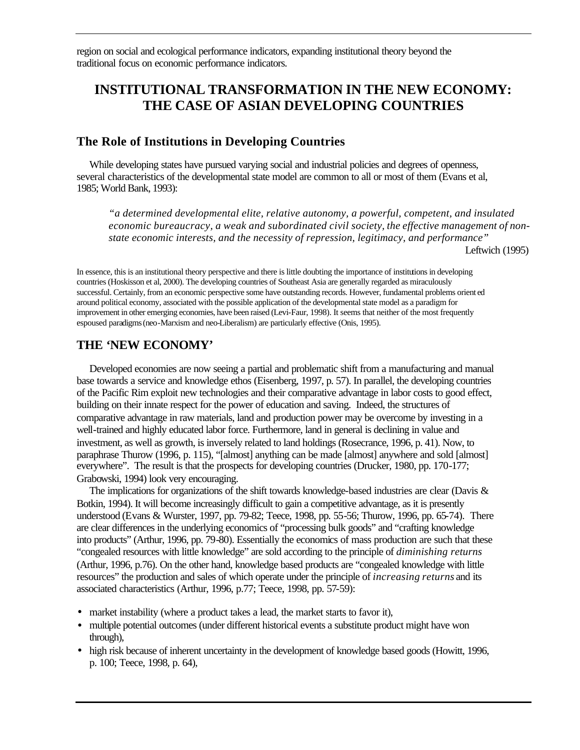region on social and ecological performance indicators, expanding institutional theory beyond the traditional focus on economic performance indicators.

# **INSTITUTIONAL TRANSFORMATION IN THE NEW ECONOMY: THE CASE OF ASIAN DEVELOPING COUNTRIES**

#### **The Role of Institutions in Developing Countries**

While developing states have pursued varying social and industrial policies and degrees of openness, several characteristics of the developmental state model are common to all or most of them (Evans et al, 1985; World Bank, 1993):

*"a determined developmental elite, relative autonomy, a powerful, competent, and insulated economic bureaucracy, a weak and subordinated civil society, the effective management of nonstate economic interests, and the necessity of repression, legitimacy, and performance"* 

Leftwich (1995)

In essence, this is an institutional theory perspective and there is little doubting the importance of institutions in developing countries (Hoskisson et al, 2000). The developing countries of Southeast Asia are generally regarded as miraculously successful. Certainly, from an economic perspective some have outstanding records. However, fundamental problems orient ed around political economy, associated with the possible application of the developmental state model as a paradigm for improvement in other emerging economies, have been raised (Levi-Faur, 1998). It seems that neither of the most frequently espoused paradigms (neo-Marxism and neo-Liberalism) are particularly effective (Onis, 1995).

### **THE 'NEW ECONOMY'**

Developed economies are now seeing a partial and problematic shift from a manufacturing and manual base towards a service and knowledge ethos (Eisenberg, 1997, p. 57). In parallel, the developing countries of the Pacific Rim exploit new technologies and their comparative advantage in labor costs to good effect, building on their innate respect for the power of education and saving. Indeed, the structures of comparative advantage in raw materials, land and production power may be overcome by investing in a well-trained and highly educated labor force. Furthermore, land in general is declining in value and investment, as well as growth, is inversely related to land holdings (Rosecrance, 1996, p. 41). Now, to paraphrase Thurow (1996, p. 115), "[almost] anything can be made [almost] anywhere and sold [almost] everywhere". The result is that the prospects for developing countries (Drucker, 1980, pp. 170-177; Grabowski, 1994) look very encouraging.

The implications for organizations of the shift towards knowledge-based industries are clear (Davis & Botkin, 1994). It will become increasingly difficult to gain a competitive advantage, as it is presently understood (Evans & Wurster, 1997, pp. 79-82; Teece, 1998, pp. 55-56; Thurow, 1996, pp. 65-74). There are clear differences in the underlying economics of "processing bulk goods" and "crafting knowledge into products" (Arthur, 1996, pp. 79-80). Essentially the economics of mass production are such that these "congealed resources with little knowledge" are sold according to the principle of *diminishing returns* (Arthur, 1996, p.76). On the other hand, knowledge based products are "congealed knowledge with little resources" the production and sales of which operate under the principle of *increasing returns* and its associated characteristics (Arthur, 1996, p.77; Teece, 1998, pp. 57-59):

- market instability (where a product takes a lead, the market starts to favor it),
- multiple potential outcomes (under different historical events a substitute product might have won through),
- high risk because of inherent uncertainty in the development of knowledge based goods (Howitt, 1996, p. 100; Teece, 1998, p. 64),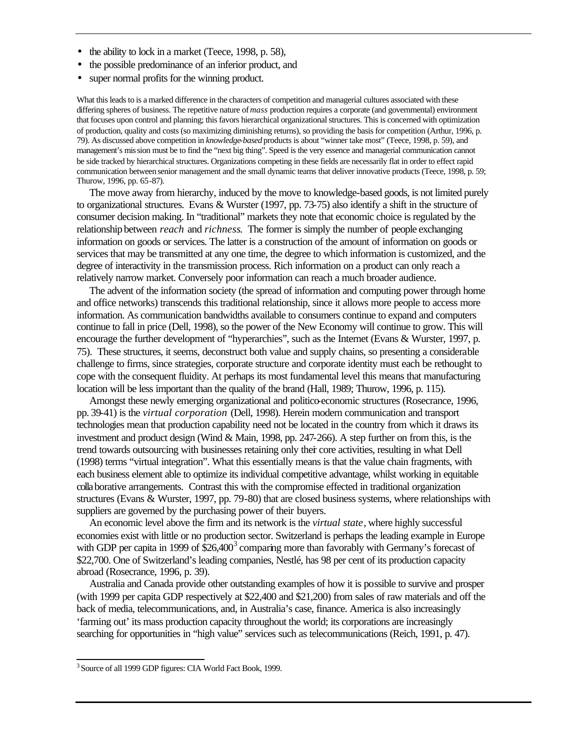- the ability to lock in a market (Teece, 1998, p. 58),
- the possible predominance of an inferior product, and
- super normal profits for the winning product.

What this leads to is a marked difference in the characters of competition and managerial cultures associated with these differing spheres of business. The repetitive nature of *mass* production requires a corporate (and governmental) environment that focuses upon control and planning; this favors hierarchical organizational structures. This is concerned with optimization of production, quality and costs (so maximizing diminishing returns), so providing the basis for competition (Arthur, 1996, p. 79). As discussed above competition in *knowledge-based* products is about "winner take most" (Teece, 1998, p. 59), and management's mission must be to find the "next big thing". Speed is the very essence and managerial communication cannot be side tracked by hierarchical structures. Organizations competing in these fields are necessarily flat in order to effect rapid communication between senior management and the small dynamic teams that deliver innovative products (Teece, 1998, p. 59; Thurow, 1996, pp. 65-87).

The move away from hierarchy, induced by the move to knowledge-based goods, is not limited purely to organizational structures. Evans & Wurster (1997, pp. 73-75) also identify a shift in the structure of consumer decision making. In "traditional" markets they note that economic choice is regulated by the relationship between *reach* and *richness*. The former is simply the number of people exchanging information on goods or services. The latter is a construction of the amount of information on goods or services that may be transmitted at any one time, the degree to which information is customized, and the degree of interactivity in the transmission process. Rich information on a product can only reach a relatively narrow market. Conversely poor information can reach a much broader audience.

The advent of the information society (the spread of information and computing power through home and office networks) transcends this traditional relationship, since it allows more people to access more information. As communication bandwidths available to consumers continue to expand and computers continue to fall in price (Dell, 1998), so the power of the New Economy will continue to grow. This will encourage the further development of "hyperarchies", such as the Internet (Evans & Wurster, 1997, p. 75). These structures, it seems, deconstruct both value and supply chains, so presenting a considerable challenge to firms, since strategies, corporate structure and corporate identity must each be rethought to cope with the consequent fluidity. At perhaps its most fundamental level this means that manufacturing location will be less important than the quality of the brand (Hall, 1989; Thurow, 1996, p. 115).

Amongst these newly emerging organizational and politico-economic structures (Rosecrance, 1996, pp. 39-41) is the *virtual corporation* (Dell, 1998). Herein modern communication and transport technologies mean that production capability need not be located in the country from which it draws its investment and product design (Wind & Main, 1998, pp. 247-266). A step further on from this, is the trend towards outsourcing with businesses retaining only their core activities, resulting in what Dell (1998) terms "virtual integration". What this essentially means is that the value chain fragments, with each business element able to optimize its individual competitive advantage, whilst working in equitable collaborative arrangements. Contrast this with the compromise effected in traditional organization structures (Evans & Wurster, 1997, pp. 79-80) that are closed business systems, where relationships with suppliers are governed by the purchasing power of their buyers.

An economic level above the firm and its network is the *virtual state*, where highly successful economies exist with little or no production sector. Switzerland is perhaps the leading example in Europe with GDP per capita in 1999 of  $$26,400^3$  comparing more than favorably with Germany's forecast of \$22,700. One of Switzerland's leading companies, Nestlé, has 98 per cent of its production capacity abroad (Rosecrance, 1996, p. 39).

Australia and Canada provide other outstanding examples of how it is possible to survive and prosper (with 1999 per capita GDP respectively at \$22,400 and \$21,200) from sales of raw materials and off the back of media, telecommunications, and, in Australia's case, finance. America is also increasingly 'farming out' its mass production capacity throughout the world; its corporations are increasingly searching for opportunities in "high value" services such as telecommunications (Reich, 1991, p. 47).

l

<sup>&</sup>lt;sup>3</sup> Source of all 1999 GDP figures: CIA World Fact Book, 1999.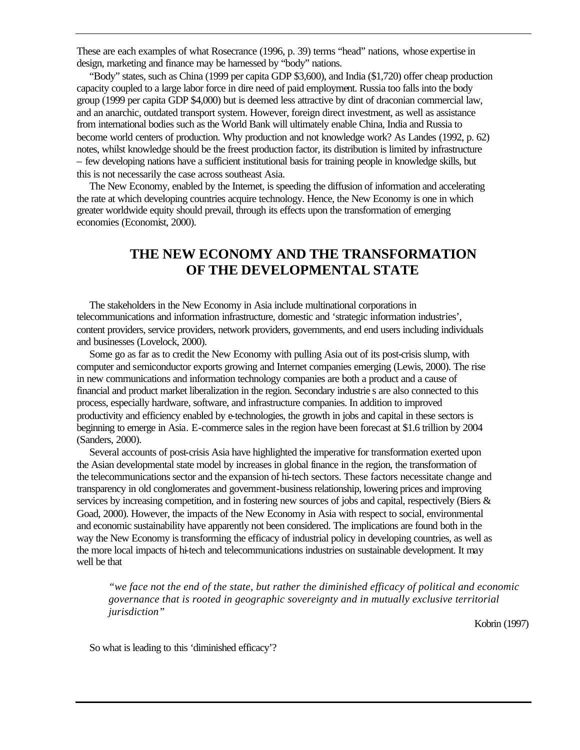These are each examples of what Rosecrance (1996, p. 39) terms "head" nations, whose expertise in design, marketing and finance may be harnessed by "body" nations.

"Body" states, such as China (1999 per capita GDP \$3,600), and India (\$1,720) offer cheap production capacity coupled to a large labor force in dire need of paid employment. Russia too falls into the body group (1999 per capita GDP \$4,000) but is deemed less attractive by dint of draconian commercial law, and an anarchic, outdated transport system. However, foreign direct investment, as well as assistance from international bodies such as the World Bank will ultimately enable China, India and Russia to become world centers of production. Why production and not knowledge work? As Landes (1992, p. 62) notes, whilst knowledge should be the freest production factor, its distribution is limited by infrastructure – few developing nations have a sufficient institutional basis for training people in knowledge skills, but this is not necessarily the case across southeast Asia.

The New Economy, enabled by the Internet, is speeding the diffusion of information and accelerating the rate at which developing countries acquire technology. Hence, the New Economy is one in which greater worldwide equity should prevail, through its effects upon the transformation of emerging economies (Economist, 2000).

# **THE NEW ECONOMY AND THE TRANSFORMATION OF THE DEVELOPMENTAL STATE**

The stakeholders in the New Economy in Asia include multinational corporations in telecommunications and information infrastructure, domestic and 'strategic information industries', content providers, service providers, network providers, governments, and end users including individuals and businesses (Lovelock, 2000).

Some go as far as to credit the New Economy with pulling Asia out of its post-crisis slump, with computer and semiconductor exports growing and Internet companies emerging (Lewis, 2000). The rise in new communications and information technology companies are both a product and a cause of financial and product market liberalization in the region. Secondary industrie s are also connected to this process, especially hardware, software, and infrastructure companies. In addition to improved productivity and efficiency enabled by e-technologies, the growth in jobs and capital in these sectors is beginning to emerge in Asia. E-commerce sales in the region have been forecast at \$1.6 trillion by 2004 (Sanders, 2000).

Several accounts of post-crisis Asia have highlighted the imperative for transformation exerted upon the Asian developmental state model by increases in global finance in the region, the transformation of the telecommunications sector and the expansion of hi-tech sectors. These factors necessitate change and transparency in old conglomerates and government-business relationship, lowering prices and improving services by increasing competition, and in fostering new sources of jobs and capital, respectively (Biers & Goad, 2000). However, the impacts of the New Economy in Asia with respect to social, environmental and economic sustainability have apparently not been considered. The implications are found both in the way the New Economy is transforming the efficacy of industrial policy in developing countries, as well as the more local impacts of hi-tech and telecommunications industries on sustainable development. It may well be that

*"we face not the end of the state, but rather the diminished efficacy of political and economic governance that is rooted in geographic sovereignty and in mutually exclusive territorial jurisdiction"* 

Kobrin (1997)

So what is leading to this 'diminished efficacy'?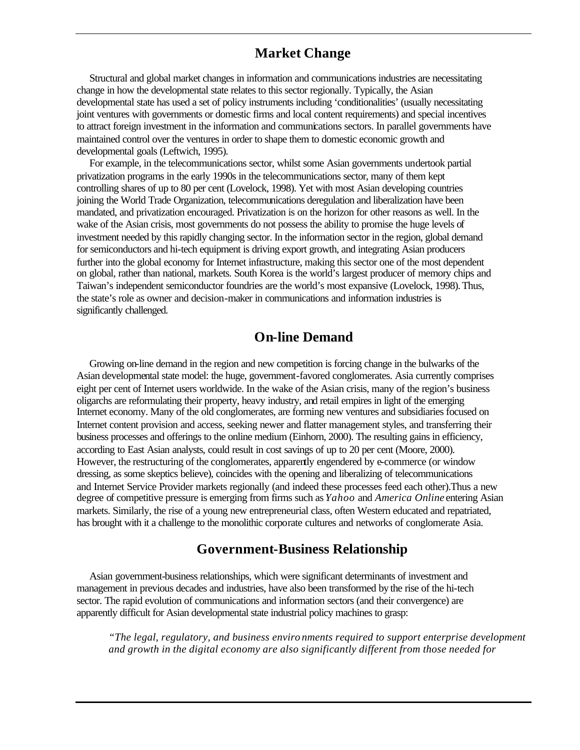# **Market Change**

Structural and global market changes in information and communications industries are necessitating change in how the developmental state relates to this sector regionally. Typically, the Asian developmental state has used a set of policy instruments including 'conditionalities' (usually necessitating joint ventures with governments or domestic firms and local content requirements) and special incentives to attract foreign investment in the information and communications sectors. In parallel governments have maintained control over the ventures in order to shape them to domestic economic growth and developmental goals (Leftwich, 1995).

For example, in the telecommunications sector, whilst some Asian governments undertook partial privatization programs in the early 1990s in the telecommunications sector, many of them kept controlling shares of up to 80 per cent (Lovelock, 1998). Yet with most Asian developing countries joining the World Trade Organization, telecommunications deregulation and liberalization have been mandated, and privatization encouraged. Privatization is on the horizon for other reasons as well. In the wake of the Asian crisis, most governments do not possess the ability to promise the huge levels of investment needed by this rapidly changing sector. In the information sector in the region, global demand for semiconductors and hi-tech equipment is driving export growth, and integrating Asian producers further into the global economy for Internet infrastructure, making this sector one of the most dependent on global, rather than national, markets. South Korea is the world's largest producer of memory chips and Taiwan's independent semiconductor foundries are the world's most expansive (Lovelock, 1998). Thus, the state's role as owner and decision-maker in communications and information industries is significantly challenged.

# **On-line Demand**

Growing on-line demand in the region and new competition is forcing change in the bulwarks of the Asian developmental state model: the huge, government-favored conglomerates. Asia currently comprises eight per cent of Internet users worldwide. In the wake of the Asian crisis, many of the region's business oligarchs are reformulating their property, heavy industry, and retail empires in light of the emerging Internet economy. Many of the old conglomerates, are forming new ventures and subsidiaries focused on Internet content provision and access, seeking newer and flatter management styles, and transferring their business processes and offerings to the online medium (Einhorn, 2000). The resulting gains in efficiency, according to East Asian analysts, could result in cost savings of up to 20 per cent (Moore, 2000). However, the restructuring of the conglomerates, apparently engendered by e-commerce (or window dressing, as some skeptics believe), coincides with the opening and liberalizing of telecommunications and Internet Service Provider markets regionally (and indeed these processes feed each other).Thus a new degree of competitive pressure is emerging from firms such as *Yahoo* and *America Online* entering Asian markets. Similarly, the rise of a young new entrepreneurial class, often Western educated and repatriated, has brought with it a challenge to the monolithic corporate cultures and networks of conglomerate Asia.

# **Government-Business Relationship**

Asian government-business relationships, which were significant determinants of investment and management in previous decades and industries, have also been transformed by the rise of the hi-tech sector. The rapid evolution of communications and information sectors (and their convergence) are apparently difficult for Asian developmental state industrial policy machines to grasp:

*"The legal, regulatory, and business enviro nments required to support enterprise development and growth in the digital economy are also significantly different from those needed for*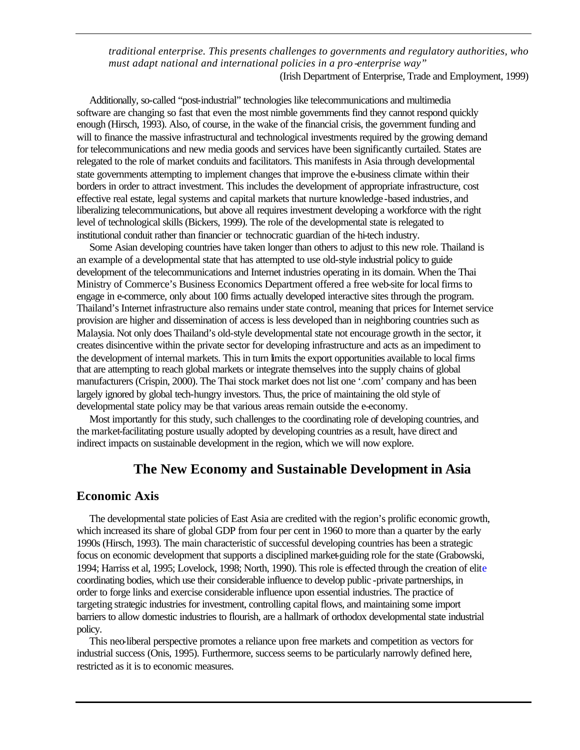*traditional enterprise. This presents challenges to governments and regulatory authorities, who must adapt national and international policies in a pro -enterprise way"* (Irish Department of Enterprise, Trade and Employment, 1999)

Additionally, so-called "post-industrial" technologies like telecommunications and multimedia software are changing so fast that even the most nimble governments find they cannot respond quickly enough (Hirsch, 1993). Also, of course, in the wake of the financial crisis, the government funding and will to finance the massive infrastructural and technological investments required by the growing demand for telecommunications and new media goods and services have been significantly curtailed. States are relegated to the role of market conduits and facilitators. This manifests in Asia through developmental state governments attempting to implement changes that improve the e-business climate within their borders in order to attract investment. This includes the development of appropriate infrastructure, cost effective real estate, legal systems and capital markets that nurture knowledge-based industries, and liberalizing telecommunications, but above all requires investment developing a workforce with the right level of technological skills (Bickers, 1999). The role of the developmental state is relegated to institutional conduit rather than financier or technocratic guardian of the hi-tech industry.

Some Asian developing countries have taken longer than others to adjust to this new role. Thailand is an example of a developmental state that has attempted to use old-style industrial policy to guide development of the telecommunications and Internet industries operating in its domain. When the Thai Ministry of Commerce's Business Economics Department offered a free web-site for local firms to engage in e-commerce, only about 100 firms actually developed interactive sites through the program. Thailand's Internet infrastructure also remains under state control, meaning that prices for Internet service provision are higher and dissemination of access is less developed than in neighboring countries such as Malaysia. Not only does Thailand's old-style developmental state not encourage growth in the sector, it creates disincentive within the private sector for developing infrastructure and acts as an impediment to the development of internal markets. This in turn limits the export opportunities available to local firms that are attempting to reach global markets or integrate themselves into the supply chains of global manufacturers (Crispin, 2000). The Thai stock market does not list one '.com' company and has been largely ignored by global tech-hungry investors. Thus, the price of maintaining the old style of developmental state policy may be that various areas remain outside the e-economy.

Most importantly for this study, such challenges to the coordinating role of developing countries, and the market-facilitating posture usually adopted by developing countries as a result, have direct and indirect impacts on sustainable development in the region, which we will now explore.

### **The New Economy and Sustainable Development in Asia**

#### **Economic Axis**

The developmental state policies of East Asia are credited with the region's prolific economic growth, which increased its share of global GDP from four per cent in 1960 to more than a quarter by the early 1990s (Hirsch, 1993). The main characteristic of successful developing countries has been a strategic focus on economic development that supports a disciplined market-guiding role for the state (Grabowski, 1994; Harriss et al, 1995; Lovelock, 1998; North, 1990). This role is effected through the creation of elite coordinating bodies, which use their considerable influence to develop public -private partnerships, in order to forge links and exercise considerable influence upon essential industries. The practice of targeting strategic industries for investment, controlling capital flows, and maintaining some import barriers to allow domestic industries to flourish, are a hallmark of orthodox developmental state industrial policy.

This neo-liberal perspective promotes a reliance upon free markets and competition as vectors for industrial success (Onis, 1995). Furthermore, success seems to be particularly narrowly defined here, restricted as it is to economic measures.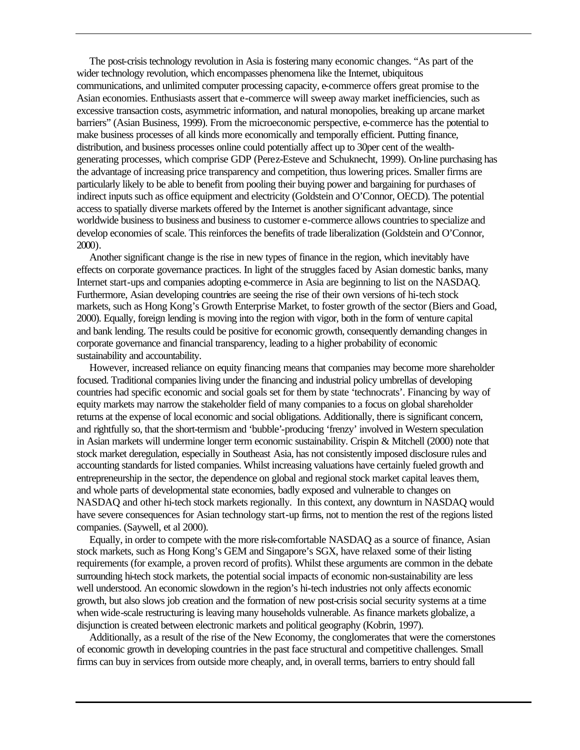The post-crisis technology revolution in Asia is fostering many economic changes. "As part of the wider technology revolution, which encompasses phenomena like the Internet, ubiquitous communications, and unlimited computer processing capacity, e-commerce offers great promise to the Asian economies. Enthusiasts assert that e-commerce will sweep away market inefficiencies, such as excessive transaction costs, asymmetric information, and natural monopolies, breaking up arcane market barriers" (Asian Business, 1999). From the microeconomic perspective, e-commerce has the potential to make business processes of all kinds more economically and temporally efficient. Putting finance, distribution, and business processes online could potentially affect up to 30per cent of the wealthgenerating processes, which comprise GDP (Perez-Esteve and Schuknecht, 1999). On-line purchasing has the advantage of increasing price transparency and competition, thus lowering prices. Smaller firms are particularly likely to be able to benefit from pooling their buying power and bargaining for purchases of indirect inputs such as office equipment and electricity (Goldstein and O'Connor, OECD). The potential access to spatially diverse markets offered by the Internet is another significant advantage, since worldwide business to business and business to customer e-commerce allows countries to specialize and develop economies of scale. This reinforces the benefits of trade liberalization (Goldstein and O'Connor, 2000).

Another significant change is the rise in new types of finance in the region, which inevitably have effects on corporate governance practices. In light of the struggles faced by Asian domestic banks, many Internet start-ups and companies adopting e-commerce in Asia are beginning to list on the NASDAQ. Furthermore, Asian developing countries are seeing the rise of their own versions of hi-tech stock markets, such as Hong Kong's Growth Enterprise Market, to foster growth of the sector (Biers and Goad, 2000). Equally, foreign lending is moving into the region with vigor, both in the form of venture capital and bank lending. The results could be positive for economic growth, consequently demanding changes in corporate governance and financial transparency, leading to a higher probability of economic sustainability and accountability.

However, increased reliance on equity financing means that companies may become more shareholder focused. Traditional companies living under the financing and industrial policy umbrellas of developing countries had specific economic and social goals set for them by state 'technocrats'. Financing by way of equity markets may narrow the stakeholder field of many companies to a focus on global shareholder returns at the expense of local economic and social obligations. Additionally, there is significant concern, and rightfully so, that the short-termism and 'bubble'-producing 'frenzy' involved in Western speculation in Asian markets will undermine longer term economic sustainability. Crispin & Mitchell (2000) note that stock market deregulation, especially in Southeast Asia, has not consistently imposed disclosure rules and accounting standards for listed companies. Whilst increasing valuations have certainly fueled growth and entrepreneurship in the sector, the dependence on global and regional stock market capital leaves them, and whole parts of developmental state economies, badly exposed and vulnerable to changes on NASDAQ and other hi-tech stock markets regionally. In this context, any downturn in NASDAQ would have severe consequences for Asian technology start-up firms, not to mention the rest of the regions listed companies. (Saywell, et al 2000).

Equally, in order to compete with the more risk-comfortable NASDAQ as a source of finance, Asian stock markets, such as Hong Kong's GEM and Singapore's SGX, have relaxed some of their listing requirements (for example, a proven record of profits). Whilst these arguments are common in the debate surrounding hi-tech stock markets, the potential social impacts of economic non-sustainability are less well understood. An economic slowdown in the region's hi-tech industries not only affects economic growth, but also slows job creation and the formation of new post-crisis social security systems at a time when wide-scale restructuring is leaving many households vulnerable. As finance markets globalize, a disjunction is created between electronic markets and political geography (Kobrin, 1997).

Additionally, as a result of the rise of the New Economy, the conglomerates that were the cornerstones of economic growth in developing countries in the past face structural and competitive challenges. Small firms can buy in services from outside more cheaply, and, in overall terms, barriers to entry should fall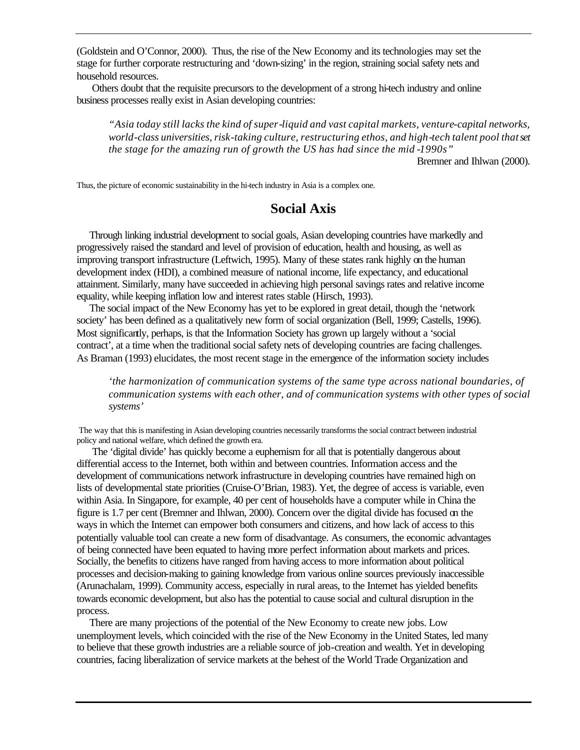(Goldstein and O'Connor, 2000). Thus, the rise of the New Economy and its technologies may set the stage for further corporate restructuring and 'down-sizing' in the region, straining social safety nets and household resources.

 Others doubt that the requisite precursors to the development of a strong hi-tech industry and online business processes really exist in Asian developing countries:

*"Asia today still lacks the kind of super-liquid and vast capital markets, venture-capital networks, world-class universities, risk-taking culture, restructuring ethos, and high-tech talent pool that set the stage for the amazing run of growth the US has had since the mid -1990s"* 

Bremner and Ihlwan (2000).

Thus, the picture of economic sustainability in the hi-tech industry in Asia is a complex one.

### **Social Axis**

Through linking industrial development to social goals, Asian developing countries have markedly and progressively raised the standard and level of provision of education, health and housing, as well as improving transport infrastructure (Leftwich, 1995). Many of these states rank highly on the human development index (HDI), a combined measure of national income, life expectancy, and educational attainment. Similarly, many have succeeded in achieving high personal savings rates and relative income equality, while keeping inflation low and interest rates stable (Hirsch, 1993).

The social impact of the New Economy has yet to be explored in great detail, though the 'network society' has been defined as a qualitatively new form of social organization (Bell, 1999; Castells, 1996). Most significantly, perhaps, is that the Information Society has grown up largely without a 'social contract', at a time when the traditional social safety nets of developing countries are facing challenges. As Braman (1993) elucidates, the most recent stage in the emergence of the information society includes

*'the harmonization of communication systems of the same type across national boundaries, of communication systems with each other, and of communication systems with other types of social systems'*

 The way that this is manifesting in Asian developing countries necessarily transforms the social contract between industrial policy and national welfare, which defined the growth era.

 The 'digital divide' has quickly become a euphemism for all that is potentially dangerous about differential access to the Internet, both within and between countries. Information access and the development of communications network infrastructure in developing countries have remained high on lists of developmental state priorities (Cruise-O'Brian, 1983). Yet, the degree of access is variable, even within Asia. In Singapore, for example, 40 per cent of households have a computer while in China the figure is 1.7 per cent (Bremner and Ihlwan, 2000). Concern over the digital divide has focused on the ways in which the Internet can empower both consumers and citizens, and how lack of access to this potentially valuable tool can create a new form of disadvantage. As consumers, the economic advantages of being connected have been equated to having more perfect information about markets and prices. Socially, the benefits to citizens have ranged from having access to more information about political processes and decision-making to gaining knowledge from various online sources previously inaccessible (Arunachalam, 1999). Community access, especially in rural areas, to the Internet has yielded benefits towards economic development, but also has the potential to cause social and cultural disruption in the process.

There are many projections of the potential of the New Economy to create new jobs. Low unemployment levels, which coincided with the rise of the New Economy in the United States, led many to believe that these growth industries are a reliable source of job-creation and wealth. Yet in developing countries, facing liberalization of service markets at the behest of the World Trade Organization and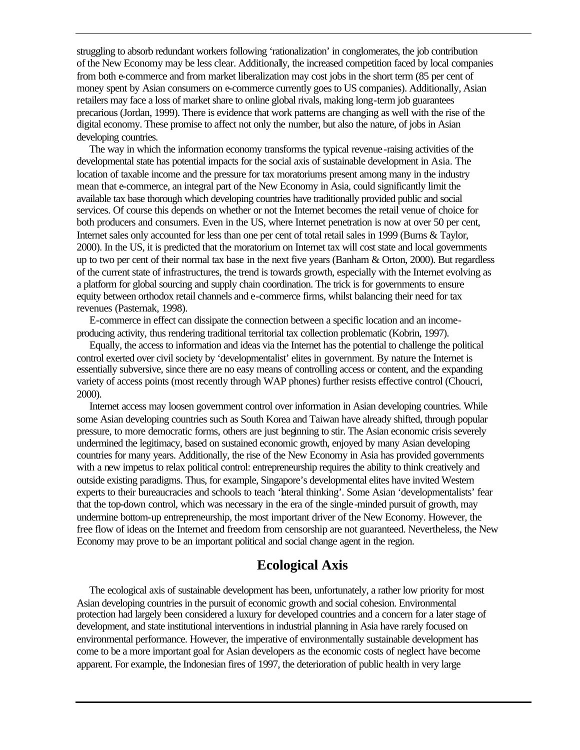struggling to absorb redundant workers following 'rationalization' in conglomerates, the job contribution of the New Economy may be less clear. Additionally, the increased competition faced by local companies from both e-commerce and from market liberalization may cost jobs in the short term (85 per cent of money spent by Asian consumers on e-commerce currently goes to US companies). Additionally, Asian retailers may face a loss of market share to online global rivals, making long-term job guarantees precarious (Jordan, 1999). There is evidence that work patterns are changing as well with the rise of the digital economy. These promise to affect not only the number, but also the nature, of jobs in Asian developing countries.

The way in which the information economy transforms the typical revenue-raising activities of the developmental state has potential impacts for the social axis of sustainable development in Asia. The location of taxable income and the pressure for tax moratoriums present among many in the industry mean that e-commerce, an integral part of the New Economy in Asia, could significantly limit the available tax base thorough which developing countries have traditionally provided public and social services. Of course this depends on whether or not the Internet becomes the retail venue of choice for both producers and consumers. Even in the US, where Internet penetration is now at over 50 per cent, Internet sales only accounted for less than one per cent of total retail sales in 1999 (Burns & Taylor, 2000). In the US, it is predicted that the moratorium on Internet tax will cost state and local governments up to two per cent of their normal tax base in the next five years (Banham & Orton, 2000). But regardless of the current state of infrastructures, the trend is towards growth, especially with the Internet evolving as a platform for global sourcing and supply chain coordination. The trick is for governments to ensure equity between orthodox retail channels and e-commerce firms, whilst balancing their need for tax revenues (Pasternak, 1998).

E-commerce in effect can dissipate the connection between a specific location and an incomeproducing activity, thus rendering traditional territorial tax collection problematic (Kobrin, 1997).

Equally, the access to information and ideas via the Internet has the potential to challenge the political control exerted over civil society by 'developmentalist' elites in government. By nature the Internet is essentially subversive, since there are no easy means of controlling access or content, and the expanding variety of access points (most recently through WAP phones) further resists effective control (Choucri, 2000).

Internet access may loosen government control over information in Asian developing countries. While some Asian developing countries such as South Korea and Taiwan have already shifted, through popular pressure, to more democratic forms, others are just beginning to stir. The Asian economic crisis severely undermined the legitimacy, based on sustained economic growth, enjoyed by many Asian developing countries for many years. Additionally, the rise of the New Economy in Asia has provided governments with a new impetus to relax political control: entrepreneurship requires the ability to think creatively and outside existing paradigms. Thus, for example, Singapore's developmental elites have invited Western experts to their bureaucracies and schools to teach 'lateral thinking'. Some Asian 'developmentalists' fear that the top-down control, which was necessary in the era of the single-minded pursuit of growth, may undermine bottom-up entrepreneurship, the most important driver of the New Economy. However, the free flow of ideas on the Internet and freedom from censorship are not guaranteed. Nevertheless, the New Economy may prove to be an important political and social change agent in the region.

# **Ecological Axis**

The ecological axis of sustainable development has been, unfortunately, a rather low priority for most Asian developing countries in the pursuit of economic growth and social cohesion. Environmental protection had largely been considered a luxury for developed countries and a concern for a later stage of development, and state institutional interventions in industrial planning in Asia have rarely focused on environmental performance. However, the imperative of environmentally sustainable development has come to be a more important goal for Asian developers as the economic costs of neglect have become apparent. For example, the Indonesian fires of 1997, the deterioration of public health in very large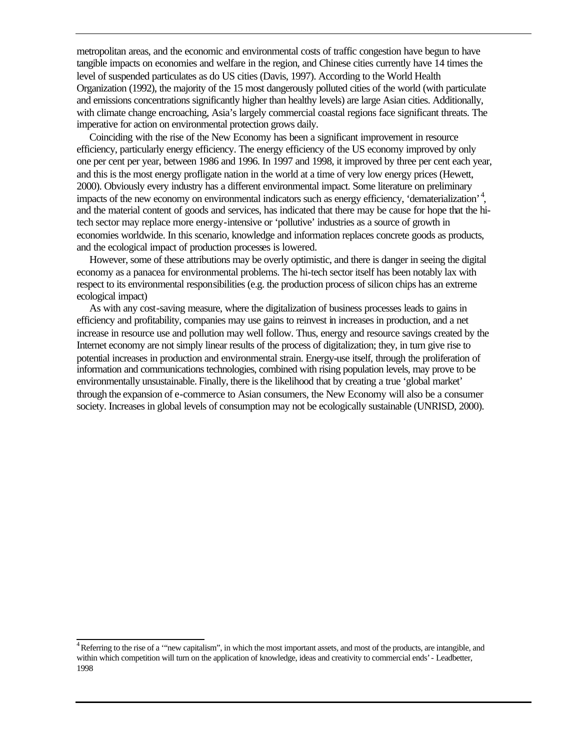metropolitan areas, and the economic and environmental costs of traffic congestion have begun to have tangible impacts on economies and welfare in the region, and Chinese cities currently have 14 times the level of suspended particulates as do US cities (Davis, 1997). According to the World Health Organization (1992), the majority of the 15 most dangerously polluted cities of the world (with particulate and emissions concentrations significantly higher than healthy levels) are large Asian cities. Additionally, with climate change encroaching, Asia's largely commercial coastal regions face significant threats. The imperative for action on environmental protection grows daily.

Coinciding with the rise of the New Economy has been a significant improvement in resource efficiency, particularly energy efficiency. The energy efficiency of the US economy improved by only one per cent per year, between 1986 and 1996. In 1997 and 1998, it improved by three per cent each year, and this is the most energy profligate nation in the world at a time of very low energy prices (Hewett, 2000). Obviously every industry has a different environmental impact. Some literature on preliminary impacts of the new economy on environmental indicators such as energy efficiency, 'dematerialization'<sup>4</sup>, and the material content of goods and services, has indicated that there may be cause for hope that the hitech sector may replace more energy-intensive or 'pollutive' industries as a source of growth in economies worldwide. In this scenario, knowledge and information replaces concrete goods as products, and the ecological impact of production processes is lowered.

However, some of these attributions may be overly optimistic, and there is danger in seeing the digital economy as a panacea for environmental problems. The hi-tech sector itself has been notably lax with respect to its environmental responsibilities (e.g. the production process of silicon chips has an extreme ecological impact)

As with any cost-saving measure, where the digitalization of business processes leads to gains in efficiency and profitability, companies may use gains to reinvest in increases in production, and a net increase in resource use and pollution may well follow. Thus, energy and resource savings created by the Internet economy are not simply linear results of the process of digitalization; they, in turn give rise to potential increases in production and environmental strain. Energy-use itself, through the proliferation of information and communications technologies, combined with rising population levels, may prove to be environmentally unsustainable. Finally, there is the likelihood that by creating a true 'global market' through the expansion of e-commerce to Asian consumers, the New Economy will also be a consumer society. Increases in global levels of consumption may not be ecologically sustainable (UNRISD, 2000).

<sup>&</sup>lt;sup>4</sup> Referring to the rise of a "new capitalism", in which the most important assets, and most of the products, are intangible, and within which competition will turn on the application of knowledge, ideas and creativity to commercial ends' - Leadbetter, 1998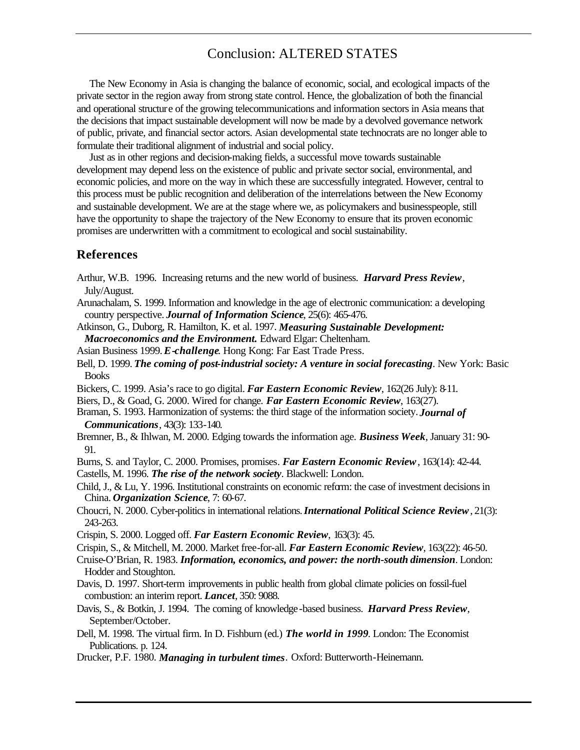# Conclusion: ALTERED STATES

The New Economy in Asia is changing the balance of economic, social, and ecological impacts of the private sector in the region away from strong state control. Hence, the globalization of both the financial and operational structure of the growing telecommunications and information sectors in Asia means that the decisions that impact sustainable development will now be made by a devolved governance network of public, private, and financial sector actors. Asian developmental state technocrats are no longer able to formulate their traditional alignment of industrial and social policy.

Just as in other regions and decision-making fields, a successful move towards sustainable development may depend less on the existence of public and private sector social, environmental, and economic policies, and more on the way in which these are successfully integrated. However, central to this process must be public recognition and deliberation of the interrelations between the New Economy and sustainable development. We are at the stage where we, as policymakers and businesspeople, still have the opportunity to shape the trajectory of the New Economy to ensure that its proven economic promises are underwritten with a commitment to ecological and social sustainability.

#### **References**

- Arthur, W.B. 1996. Increasing returns and the new world of business. *Harvard Press Review*, July/August.
- Arunachalam, S. 1999. Information and knowledge in the age of electronic communication: a developing country perspective. *Journal of Information Science*, 25(6): 465-476.
- Atkinson, G., Duborg, R. Hamilton, K. et al. 1997. *Measuring Sustainable Development: Macroeconomics and the Environment.* Edward Elgar: Cheltenham.
- Asian Business 1999. *E-challenge*. Hong Kong: Far East Trade Press.
- Bell, D. 1999. *The coming of post-industrial society: A venture in social forecasting*. New York: Basic Books
- Bickers, C. 1999. Asia's race to go digital. *Far Eastern Economic Review*, 162(26 July): 8-11.
- Biers, D., & Goad, G. 2000. Wired for change. *Far Eastern Economic Review*, 163(27).
- Braman, S. 1993. Harmonization of systems: the third stage of the information society. *Journal of Communications*, 43(3): 133-140.
- Bremner, B., & Ihlwan, M. 2000. Edging towards the information age. *Business Week*, January 31: 90- 91.
- Burns, S. and Taylor, C. 2000. Promises, promises*. Far Eastern Economic Review*, 163(14): 42-44.
- Castells, M. 1996. *The rise of the network society*. Blackwell: London.
- Child, J., & Lu, Y. 1996. Institutional constraints on economic reform: the case of investment decisions in China. *Organization Science*, 7: 60-67.
- Choucri, N. 2000. Cyber-politics in international relations. *International Political Science Review*, 21(3): 243-263.
- Crispin, S. 2000. Logged off. *Far Eastern Economic Review*, 163(3): 45.
- Crispin, S., & Mitchell, M. 2000. Market free-for-all. *Far Eastern Economic Review*, 163(22): 46-50.
- Cruise-O'Brian, R. 1983. *Information, economics, and power: the north-south dimension*. London: Hodder and Stoughton.
- Davis, D. 1997. Short-term improvements in public health from global climate policies on fossil-fuel combustion: an interim report. *Lancet*, 350: 9088.
- Davis, S., & Botkin, J. 1994. The coming of knowledge-based business. *Harvard Press Review*, September/October.
- Dell, M. 1998. The virtual firm. In D. Fishburn (ed.) *The world in 1999*. London: The Economist Publications. p. 124.
- Drucker, P.F. 1980. *Managing in turbulent times.* Oxford: Butterworth-Heinemann.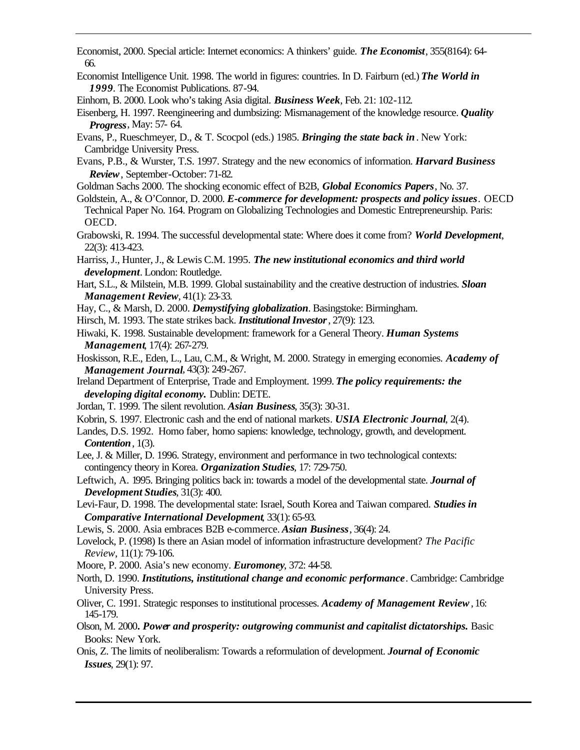Economist, 2000. Special article: Internet economics: A thinkers' guide. *The Economist*, 355(8164): 64- 66.

Economist Intelligence Unit. 1998. The world in figures: countries. In D. Fairburn (ed.) *The World in 1999*. The Economist Publications. 87-94.

Einhorn, B. 2000. Look who's taking Asia digital. *Business Week*, Feb. 21: 102-112.

- Eisenberg, H. 1997. Reengineering and dumbsizing: Mismanagement of the knowledge resource. *Quality Progress*, May: 57- 64.
- Evans, P., Rueschmeyer, D., & T. Scocpol (eds.) 1985. *Bringing the state back in*. New York: Cambridge University Press.
- Evans, P.B., & Wurster, T.S. 1997. Strategy and the new economics of information. *Harvard Business Review*, September-October: 71-82.
- Goldman Sachs 2000. The shocking economic effect of B2B, *Global Economics Papers*, No. 37.
- Goldstein, A., & O'Connor, D. 2000. *E-commerce for development: prospects and policy issues*. OECD Technical Paper No. 164. Program on Globalizing Technologies and Domestic Entrepreneurship. Paris: OECD.
- Grabowski, R. 1994. The successful developmental state: Where does it come from? *World Development*, 22(3): 413-423.
- Harriss, J., Hunter, J., & Lewis C.M. 1995. *The new institutional economics and third world development*. London: Routledge.
- Hart, S.L., & Milstein, M.B. 1999. Global sustainability and the creative destruction of industries. *Sloan Management Review*, 41(1): 23-33.
- Hay, C., & Marsh, D. 2000. *Demystifying globalization*. Basingstoke: Birmingham.
- Hirsch, M. 1993. The state strikes back. *Institutional Investor*, 27(9): 123.
- Hiwaki, K. 1998. Sustainable development: framework for a General Theory. *Human Systems Management*, 17(4): 267-279.
- Hoskisson, R.E., Eden, L., Lau, C.M., & Wright, M. 2000. Strategy in emerging economies. *Academy of Management Journal*, 43(3): 249-267.
- Ireland Department of Enterprise, Trade and Employment. 1999. *The policy requirements: the developing digital economy.* Dublin: DETE.
- Jordan, T. 1999. The silent revolution. *Asian Business*, 35(3): 30-31.
- Kobrin, S. 1997. Electronic cash and the end of national markets*. USIA Electronic Journal*, 2(4).
- Landes, D.S. 1992. Homo faber, homo sapiens: knowledge, technology, growth, and development. *Contention*, 1(3).
- Lee, J. & Miller, D. 1996. Strategy, environment and performance in two technological contexts: contingency theory in Korea. *Organization Studies*, 17: 729-750.
- Leftwich, A. 1995. Bringing politics back in: towards a model of the developmental state. *Journal of Development Studies*, 31(3): 400.
- Levi-Faur, D. 1998. The developmental state: Israel, South Korea and Taiwan compared. *Studies in Comparative International Development*, 33(1): 65-93.
- Lewis, S. 2000. Asia embraces B2B e-commerce. *Asian Business*, 36(4): 24.
- Lovelock, P. (1998) Is there an Asian model of information infrastructure development? *The Pacific Review*, 11(1): 79-106.
- Moore, P. 2000. Asia's new economy. *Euromoney*, 372: 44-58.
- North, D. 1990. *Institutions, institutional change and economic performance*. Cambridge: Cambridge University Press.
- Oliver, C. 1991. Strategic responses to institutional processes. *Academy of Management Review*, 16: 145-179.
- Olson, M. 2000*. Power and prosperity: outgrowing communist and capitalist dictatorships.* Basic Books: New York.
- Onis, Z. The limits of neoliberalism: Towards a reformulation of development. *Journal of Economic Issues*, 29(1): 97.